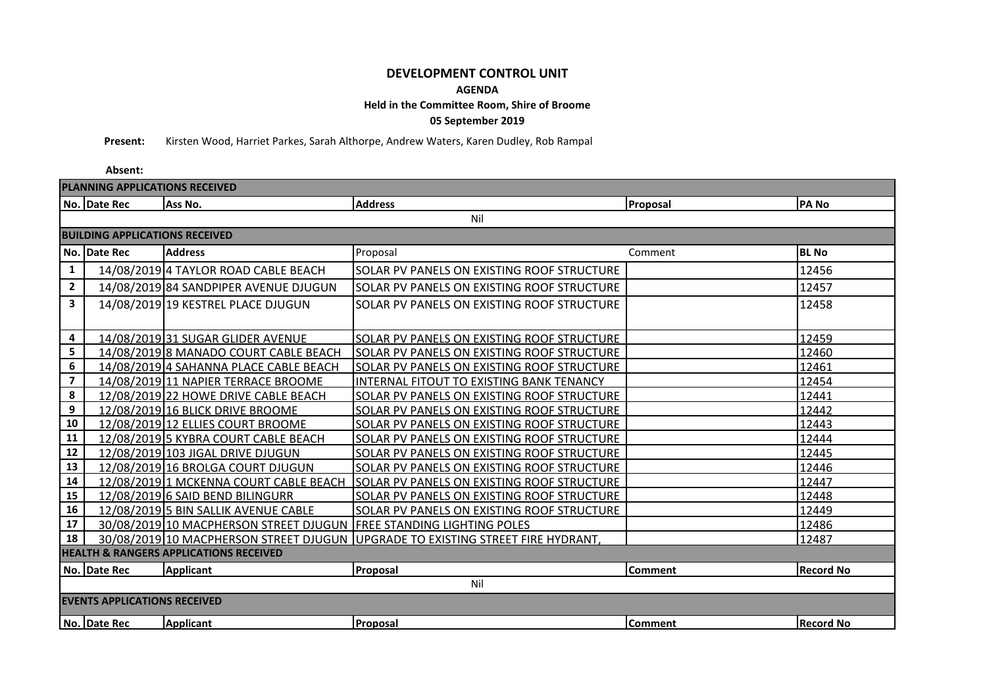## **DEVELOPMENT CONTROL UNIT**

## **AGENDA**

## **Held in the Committee Room, Shire of Broome**

**05 September 2019**

**Present:** Kirsten Wood, Harriet Parkes, Sarah Althorpe, Andrew Waters, Karen Dudley, Rob Rampal

## **Absent:**

| PLANNING APPLICATIONS RECEIVED                    |              |                                                                     |                                                                                 |                |                  |  |  |  |
|---------------------------------------------------|--------------|---------------------------------------------------------------------|---------------------------------------------------------------------------------|----------------|------------------|--|--|--|
|                                                   | No. Date Rec | Ass No.                                                             | <b>Address</b>                                                                  | Proposal       | <b>PANO</b>      |  |  |  |
| Nil                                               |              |                                                                     |                                                                                 |                |                  |  |  |  |
| <b>BUILDING APPLICATIONS RECEIVED</b>             |              |                                                                     |                                                                                 |                |                  |  |  |  |
|                                                   | No. Date Rec | <b>Address</b>                                                      | Proposal                                                                        | Comment        | <b>BL No</b>     |  |  |  |
| $\mathbf{1}$                                      |              | 14/08/2019 4 TAYLOR ROAD CABLE BEACH                                | SOLAR PV PANELS ON EXISTING ROOF STRUCTURE                                      |                | 12456            |  |  |  |
| $\mathbf{2}$                                      |              | 14/08/2019 84 SANDPIPER AVENUE DJUGUN                               | SOLAR PV PANELS ON EXISTING ROOF STRUCTURE                                      |                | 12457            |  |  |  |
| 3                                                 |              | 14/08/2019 19 KESTREL PLACE DJUGUN                                  | SOLAR PV PANELS ON EXISTING ROOF STRUCTURE                                      |                | 12458            |  |  |  |
|                                                   |              |                                                                     |                                                                                 |                |                  |  |  |  |
| 4                                                 |              | 14/08/2019 31 SUGAR GLIDER AVENUE                                   | SOLAR PV PANELS ON EXISTING ROOF STRUCTURE                                      |                | 12459            |  |  |  |
| 5                                                 |              | 14/08/2019 8 MANADO COURT CABLE BEACH                               | SOLAR PV PANELS ON EXISTING ROOF STRUCTURE                                      |                | 12460            |  |  |  |
| 6                                                 |              | 14/08/2019 4 SAHANNA PLACE CABLE BEACH                              | SOLAR PV PANELS ON EXISTING ROOF STRUCTURE                                      |                | 12461            |  |  |  |
| $\overline{\mathbf{z}}$                           |              | 14/08/2019 11 NAPIER TERRACE BROOME                                 | INTERNAL FITOUT TO EXISTING BANK TENANCY                                        |                | 12454            |  |  |  |
| 8                                                 |              | 12/08/2019 22 HOWE DRIVE CABLE BEACH                                | SOLAR PV PANELS ON EXISTING ROOF STRUCTURE                                      |                | 12441            |  |  |  |
| $\boldsymbol{9}$                                  |              | 12/08/2019 16 BLICK DRIVE BROOME                                    | SOLAR PV PANELS ON EXISTING ROOF STRUCTURE                                      |                | 12442            |  |  |  |
| 10                                                |              | 12/08/2019 12 ELLIES COURT BROOME                                   | SOLAR PV PANELS ON EXISTING ROOF STRUCTURE                                      |                | 12443            |  |  |  |
| 11                                                |              | 12/08/2019 5 KYBRA COURT CABLE BEACH                                | SOLAR PV PANELS ON EXISTING ROOF STRUCTURE                                      |                | 12444            |  |  |  |
| 12                                                |              | 12/08/2019 103 JIGAL DRIVE DJUGUN                                   | SOLAR PV PANELS ON EXISTING ROOF STRUCTURE                                      |                | 12445            |  |  |  |
| 13                                                |              | 12/08/2019 16 BROLGA COURT DJUGUN                                   | SOLAR PV PANELS ON EXISTING ROOF STRUCTURE                                      |                | 12446            |  |  |  |
| 14                                                |              | 12/08/2019 1 MCKENNA COURT CABLE BEACH                              | SOLAR PV PANELS ON EXISTING ROOF STRUCTURE                                      |                | 12447            |  |  |  |
| 15                                                |              | 12/08/2019 6 SAID BEND BILINGURR                                    | SOLAR PV PANELS ON EXISTING ROOF STRUCTURE                                      |                | 12448            |  |  |  |
| 16                                                |              | 12/08/2019 5 BIN SALLIK AVENUE CABLE                                | SOLAR PV PANELS ON EXISTING ROOF STRUCTURE                                      |                | 12449            |  |  |  |
| 17                                                |              | 30/08/2019 10 MACPHERSON STREET DJUGUN FREE STANDING LIGHTING POLES |                                                                                 |                | 12486            |  |  |  |
| 18                                                |              |                                                                     | 30/08/2019 10 MACPHERSON STREET DJUGUN UPGRADE TO EXISTING STREET FIRE HYDRANT, |                | 12487            |  |  |  |
| <b>HEALTH &amp; RANGERS APPLICATIONS RECEIVED</b> |              |                                                                     |                                                                                 |                |                  |  |  |  |
|                                                   | No. Date Rec | <b>Applicant</b>                                                    | Proposal                                                                        | <b>Comment</b> | <b>Record No</b> |  |  |  |
| Nil                                               |              |                                                                     |                                                                                 |                |                  |  |  |  |
| <b>EVENTS APPLICATIONS RECEIVED</b>               |              |                                                                     |                                                                                 |                |                  |  |  |  |
|                                                   | No. Date Rec | <b>Applicant</b>                                                    | Proposal                                                                        | <b>Comment</b> | <b>Record No</b> |  |  |  |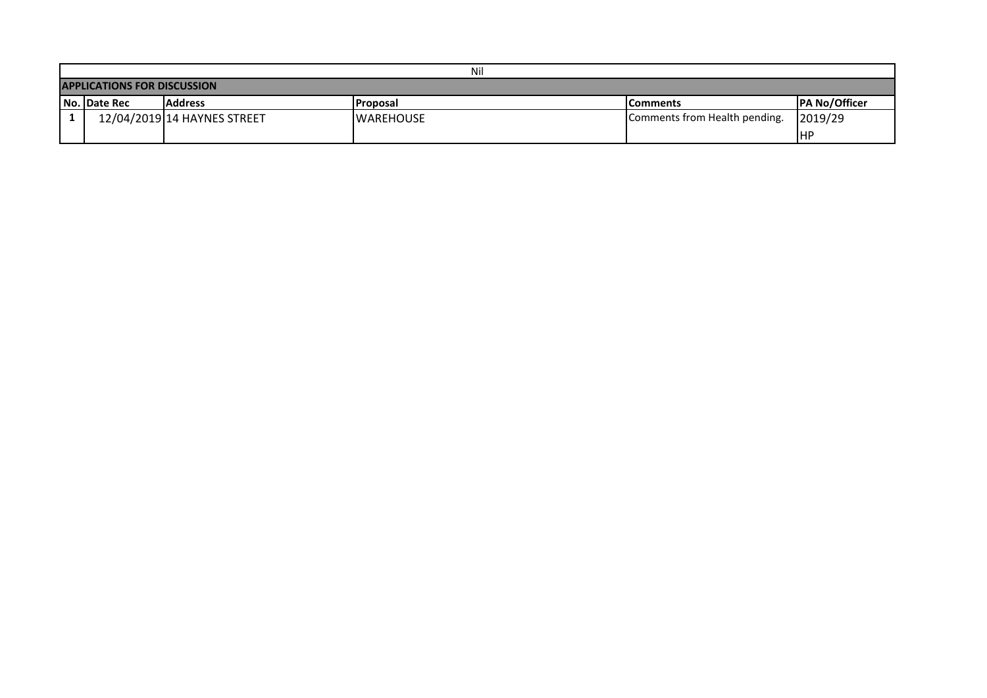|                                    | Nil                 |                             |                   |                               |                       |  |  |  |  |  |
|------------------------------------|---------------------|-----------------------------|-------------------|-------------------------------|-----------------------|--|--|--|--|--|
| <b>APPLICATIONS FOR DISCUSSION</b> |                     |                             |                   |                               |                       |  |  |  |  |  |
|                                    | <b>No. Date Rec</b> | <b>Address</b>              | <b>IProposal</b>  | <b>IComments</b>              | <b>IPA No/Officer</b> |  |  |  |  |  |
|                                    |                     | 12/04/2019 14 HAYNES STREET | <b>IWAREHOUSE</b> | Comments from Health pending. | 2019/29               |  |  |  |  |  |
|                                    |                     |                             |                   |                               | IHP                   |  |  |  |  |  |